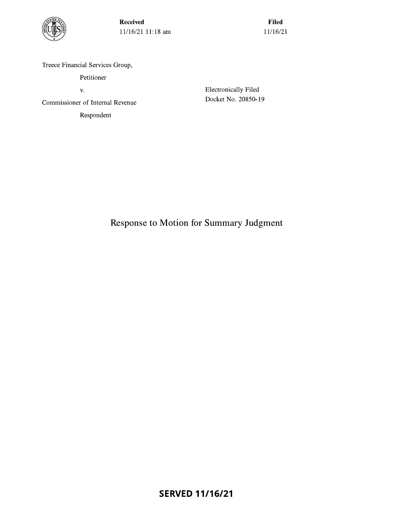

**Received** 11/16/21 11:18 am

**Filed** 11/16/21

Treece Financial Services Group,

Petitioner

V.

Commissioner of Internal Revenue

Respondent

**Electronically Filed** Docket No. 20850-19

Response to Motion for Summary Judgment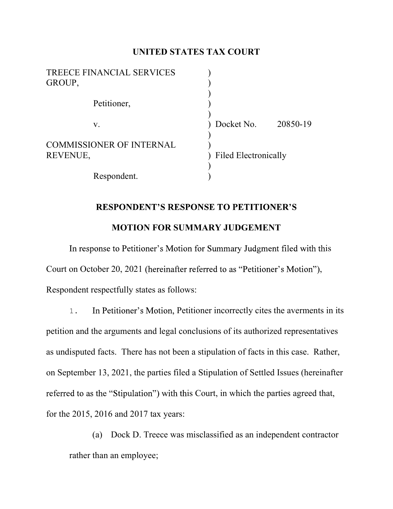## UNITED STATES TAX COURT

| <b>TREECE FINANCIAL SERVICES</b><br>GROUP,  |                             |          |
|---------------------------------------------|-----------------------------|----------|
| Petitioner,                                 |                             |          |
| V.                                          | Docket No.                  | 20850-19 |
| <b>COMMISSIONER OF INTERNAL</b><br>REVENUE, | <b>Filed Electronically</b> |          |
| Respondent.                                 |                             |          |

# **RESPONDENT'S RESPONSE TO PETITIONER'S** MOTION FOR SUMMARY JUDGEMENT

In response to Petitioner's Motion for Summary Judgment filed with this Court on October 20, 2021 (hereinafter referred to as "Petitioner's Motion"),<br>Respondent respectfully states as follows:

1. In Petitioner's Motion, Petitioner incorrectly cites the averments in its petition and the arguments and legal conclusions of its authorized representatives as undisputed facts. There has not been a stipulation of facts in this case. Rather, on September 13, 2021, the parties filed a Stipulation of Settled Issues (hereinafter referred to as the "Stipulation") with this Court, in which the parties agreed that, for the 2015, 2016 and 2017 tax years:

(a) Dock D. Treece was misclassified as an independent contractor rather than an employee;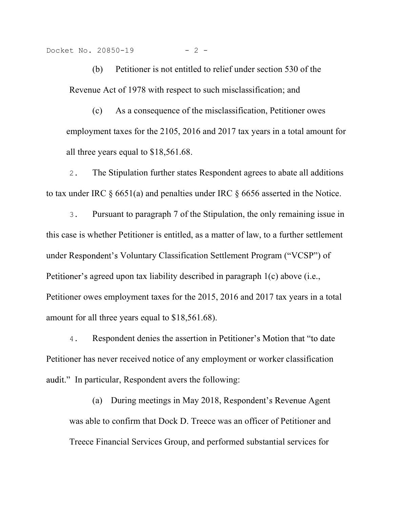Docket No. 20850-19 - 2 -

20850-19  $-$  2 -<br>(b) Petitioner is not entitled to relief under section 530 of the<br>ue Act of 1978 with respect to such misclassification; and<br>(c) As a consequence of the misclassification. Petitioner owes Revenue Act of 1978 with respect to such misclassification; and

(c) As a consequence of the misclassification, Petitioner owes employment taxes for the 2105, 2016 and 2017 tax years in a total amount for all three years equal to \$18,561.68.

2. The Stipulation further states Respondent agrees to abate all additions to tax under IRC § 6651(a) and penalties under IRC § 6656 asserted in the Notice.

3. Pursuant to paragraph 7 of the Stipulation, the only remaining issue in this case is whether Petitioner is entitled, as a matter of law, to a further settlement under Respondent's Voluntary Classification Settlement Program ("VCSP") of Petitioner's agreed upon tax liability described in paragraph  $1(c)$  above (i.e., Petitioner owes employment taxes for the 2015, 2016 and 2017 tax years in a total amount for all three years equal to \$18,561.68).

4. Respondent denies the assertion in Petitioner's Motion that "to date" Petitioner has never received notice of any employment or worker classification audit." In particular, Respondent avers the following:

(a) During meetings in May 2018, R was able to confirm that Dock D. Treece was an officer of Petitioner and Treece Financial Services Group, and performed substantial services for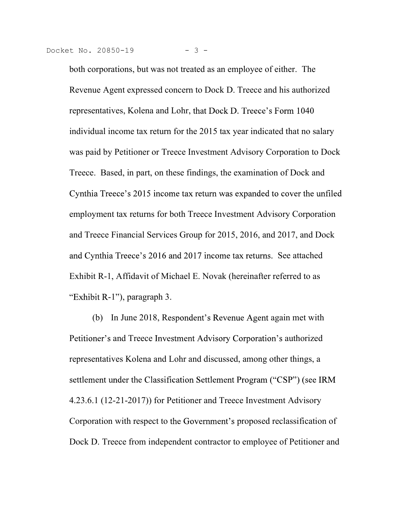both corporations, but was not treated as an employee of either. The Revenue Agent expressed concern to Dock D. Treece and his authorized representatives, Kolena and Lohr, that Dock D. Treece's Form 1040 individual income tax return for the 2015 tax year indicated that no salary was paid by Petitioner or Treece Investment Advisory Corporation to Dock Treece. Based, in part, on these findings, the examination of Dock and Cynthia Treece's 2015 income tax return was expanded to cover the unfiled employment tax returns for both Treece Investment Advisory Corporation and Treece Financial Services Group for 2015, 2016, and 2017, and Dock and Cynthia Treece's 2016 and 2017 income tax returns. See attached Exhibit R-1, Affidavit of Michael E. Novak (hereinafter referred to as "Exhibit  $R-1$ "), paragraph 3.

(b) In June 2018, Respondent's Revenue Agent again met with Petitioner's and Treece Investment Advisory Corporation's authorized representatives Kolena and Lohr and discussed, among other things, a settlement under the Classification Settlement Program ("CSP") (see IRM 4.23.6.1 (12-21-2017)) for Petitioner and Treece Investment Advisory Corporation with respect to the Government's proposed reclassification of Dock D. Treece from independent contractor to employee of Petitioner and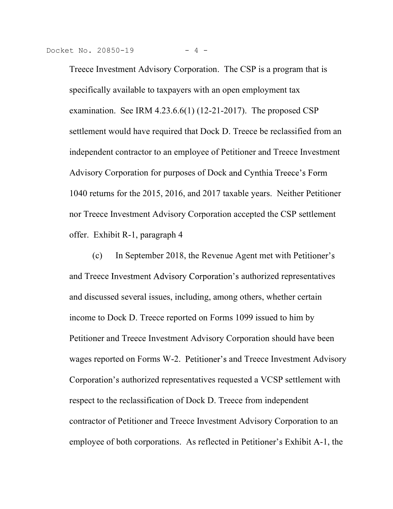<sup>t No.</sup> 20850-19 <sup>-4</sup><br>Treece Investment Advisory Corporation. The CSP is a program that is<br>specifically available to taxpayers with an open employment tax<br>examination. See IRM 4.23.6.6(1) (12-21-2017). The proposed CSP specifically available to taxpayers with an open employment tax examination. See IRM  $4.23.6.6(1)$  (12-21-2017). The proposed CSP settlement would have required that Dock D. Treece be reclassified from an independent contractor to an employee of Petitioner and Treece Investment Advisory Corporation for purposes of Dock 1040 returns for the 2015, 2016, and 2017 taxable years. Neither Petitioner nor Treece Investment Advisory Corporation accepted the CSP settlement offer. Exhibit R-1, paragraph 4

(c) In September 2018, the Revenue Agent met with P and Treece Investment Advisory Corporation's authorized representatives and discussed several issues, including, among others, whether certain income to Dock D. Treece reported on Forms 1099 issued to him by Petitioner and Treece Investment Advisory Corporation should have been wages reported on Forms W-2. Petitioner's and Treece Investment Advisory Corporation's authorized representatives requested a VCSP settlement with respect to the reclassification of Dock D. Treece from independent contractor of Petitioner and Treece Investment Advisory Corporation to an employee of both corporations. As reflected in Petitioner's Exhibit A-1, the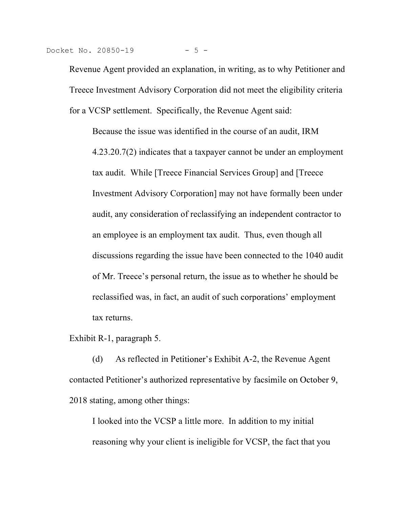<sup>t No.</sup> 20850-19 <sup>- 5</sup><br>Revenue Agent provided an explanation, in writing, as to why Petitioner and<br>Treece Investment Advisory Corporation did not meet the eligibility criteria<br>for a VCSP settlement. Specifically, the Reven Treece Investment Advisory Corporation did not meet the eligibility criteria for a VCSP settlement. Specifically, the Revenue Agent said:

Because the issue was identified in the course of an audit, IRM 4.23.20.7(2) indicates that a taxpayer cannot be under an employment tax audit. While [Treece Financial Services Group] and [Treece Investment Advisory Corporation] may not have formally been under audit, any consideration of reclassifying an independent contractor to an employee is an employment tax audit. Thus, even though all discussions regarding the issue have been connected to the 1040 audit of Mr. Treece's personal return, the issue as to whether he should be reclassified was, in fact, an audit of such corporations' employment tax returns.

Exhibit R-1, paragraph 5.

(d) As reflected in Petitioner's Exhibit A-2, the Revenue Agent contacted Petitioner's authorized representative by facsimile on October 9, 2018 stating, among other things:

I looked into the VCSP a little more. In addition to my initial reasoning why your client is ineligible for VCSP, the fact that you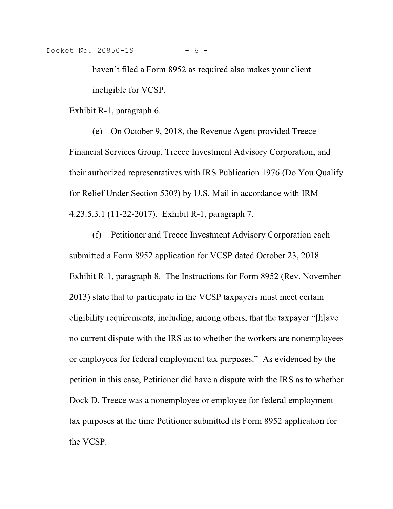Docket No. 20850-19 - 6 -

haven't filed a Form 8952 as required also makes your client ineligible for VCSP.

Exhibit R-1, paragraph 6.

(e) On October 9, 2018, the Revenue Agent provided Treece Financial Services Group, Treece Investment Advisory Corporation, and their authorized representatives with IRS Publication 1976 (Do You Qualify for Relief Under Section 530?) by U.S. Mail in accordance with IRM 4.23.5.3.1 (11-22-2017). Exhibit R-1, paragraph 7.

(f) Petitioner and Treece Investment Advisory Corporation each submitted a Form 8952 application for VCSP dated October 23, 2018. Exhibit R-1, paragraph 8. The Instructions for Form 8952 (Rev. November 2013) state that to participate in the VCSP taxpayers must meet certain eligibility requirements, including, among others, that the taxpayer "[h]ave no current dispute with the IRS as to whether the workers are nonemployees or employees for federal employment tax purposes." As evidenced by the petition in this case, Petitioner did have a dispute with the IRS as to whether Dock D. Treece was a nonemployee or employee for federal employment tax purposes at the time Petitioner submitted its Form 8952 application for the VCSP.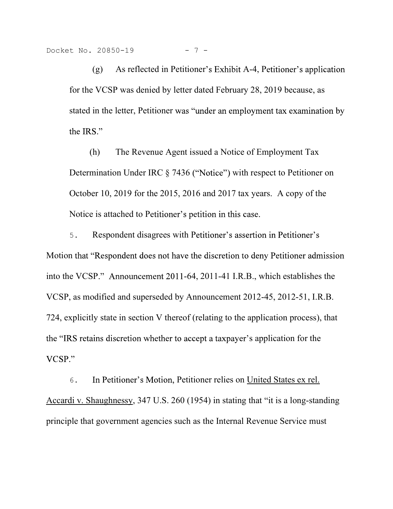$20850-19$  - 7 -<br>(g) As reflected in Petitioner's Exhibit A-4, Petitioner's application<br>VCSP was denied by letter dated February 28, 2019 because, as<br>in the letter. Petitioner was "under an employment tax examination by for the VCSP was denied by letter dated February 28, 2019 because, as stated in the letter, Petitioner was "under an employment tax examination by (h) The Revenue Agent issued a Notice of Employment Tax

Determination Under IRC  $\S$  7436 ("Notice") with respect to Petitioner on October 10, 2019 for the 2015, 2016 and 2017 tax years. A copy of the Notice is attached to Petitioner's petition in this case.

5. Respondent disagrees with Petitioner's assertion in Petitioner's Motion that "Respondent does not have the discretion to deny Petitioner admission into the VCSP." Announcement 2011-64, 2011-41 I.R.B., which establishes the VCSP, as modified and superseded by Announcement 2012-45, 2012-51, I.R.B. 724, explicitly state in section V thereof (relating to the application process), that the "IRS retains discretion whether to accept a taxpayer's application for the  $VCSP.$ "

6. In Petitioner's Motion, Petitioner relies on United States ex rel. Accardi v. Shaughnessy, 347 U.S. 260 (1954) in stating that "it is a long-standing principle that government agencies such as the Internal Revenue Service must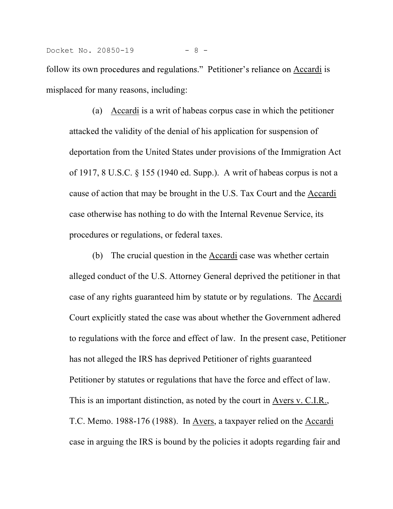misplaced for many reasons, including:

(a) Accardi is a writ of habeas corpus case in which the petitioner attacked the validity of the denial of his application for suspension of deportation from the United States under provisions of the Immigration Act of 1917, 8 U.S.C. § 155 (1940 ed. Supp.). A writ of habeas corpus is not a cause of action that may be brought in the U.S. Tax Court and the Accardi case otherwise has nothing to do with the Internal Revenue Service, its procedures or regulations, or federal taxes.

(b) The crucial question in the Accardi case was whether certain alleged conduct of the U.S. Attorney General deprived the petitioner in that case of any rights guaranteed him by statute or by regulations. The Accardi Court explicitly stated the case was about whether the Government adhered to regulations with the force and effect of law. In the present case, Petitioner has not alleged the IRS has deprived Petitioner of rights guaranteed Petitioner by statutes or regulations that have the force and effect of law. This is an important distinction, as noted by the court in Avers v. C.I.R., T.C. Memo. 1988-176 (1988). In Avers, a taxpayer relied on the Accardi case in arguing the IRS is bound by the policies it adopts regarding fair and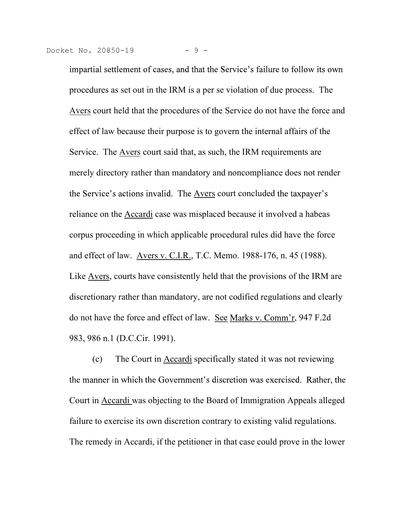Docket No. 20850-19 - 9 -

impartial settlement of cases, and that the Service's failure to follow its own procedures as set out in the IRM is a per se violation of due process. The Avers court held that the procedures of the Service do not have the force and effect of law because their purpose is to govern the internal affairs of the Service. The Avers court said that, as such, the IRM requirements are merely directory rather than mandatory and noncompliance does not render the Service's actions invalid. The Avers court concluded the taxpayer's reliance on the Accardi case was misplaced because it involved a habeas corpus proceeding in which applicable procedural rules did have the force and effect of law. Avers v. C.I.R., T.C. Memo. 1988-176, n. 45 (1988). Like Avers, courts have consistently held that the provisions of the IRM are discretionary rather than mandatory, are not codified regulations and clearly do not have the force and effect of law. See Marks v. Comm'r, 947 F.2d 983, 986 n.1 (D.C.Cir. 1991).

(c) The Court in Accardi specifically stated it was not reviewing the manner in which the Government's discretion was exercised. Rather, the Court in Accardi was objecting to the Board of Immigration Appeals alleged failure to exercise its own discretion contrary to existing valid regulations. The remedy in Accardi, if the petitioner in that case could prove in the lower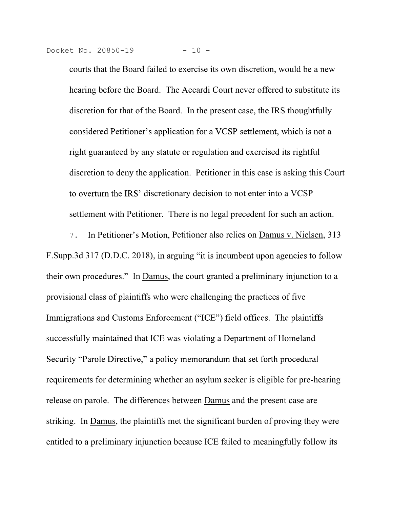Docket No. 20850-19 - 10 -

 $\frac{10}{10}$  and  $\frac{10}{10}$  and  $\frac{10}{10}$  and  $\frac{10}{10}$  and  $\frac{10}{10}$  and  $\frac{10}{10}$  and  $\frac{10}{10}$  and  $\frac{10}{10}$  and  $\frac{10}{10}$  and  $\frac{10}{10}$  and  $\frac{10}{10}$  and  $\frac{10}{10}$  and  $\frac{10}{10}$  and  $\frac{10}{10}$  a hearing before the Board. The **Accardi Court never offered to substitute its** discretion for that of the Board. In the present case, the IRS thoughtfully considered Petitioner's application for a VCSP settlement, which is not a right guaranteed by any statute or regulation and exercised its rightful discretion to deny the application. Petitioner in this case is asking this Court to overturn the IRS' discretionary decision to not enter into a VCSP settlement with Petitioner. There is no legal precedent for such an action.

7. In Petitioner's Motion, Petitioner also relies on Damus v. Nielsen, 313 F. Supp. 3d 317 (D.D.C. 2018), in arguing "it is incumbent upon agencies to follow their own procedures." In Damus, the court granted a preliminary injunction to a provisional class of plaintiffs who were challenging the practices of five Immigrations and Customs Enforcement ("ICE") field offices. The plaintiffs successfully maintained that ICE was violating a Department of Homeland Security "Parole Directive," a policy memorandum that set forth procedural requirements for determining whether an asylum seeker is eligible for pre-hearing release on parole. The differences between Damus and the present case are striking. In Damus, the plaintiffs met the significant burden of proving they were entitled to a preliminary injunction because ICE failed to meaningfully follow its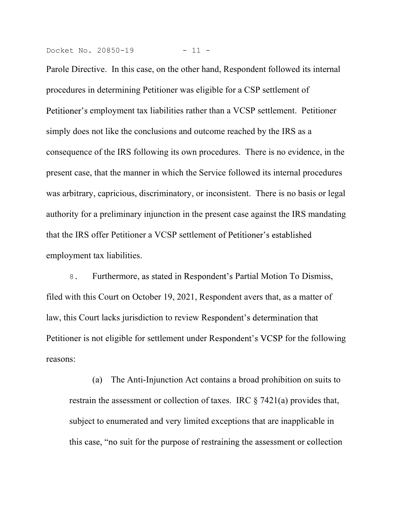Docket No. 20850-19 - 11 -

Parole Directive. In this case, on the other hand, Respondent followed its internal procedures in determining Petitioner was eligible for a CSP settlement of Petitioner's employment tax liabilities rather than a VCSP settlement. Petitioner simply does not like the conclusions and outcome reached by the IRS as a consequence of the IRS following its own procedures. There is no evidence, in the present case, that the manner in which the Service followed its internal procedures was arbitrary, capricious, discriminatory, or inconsistent. There is no basis or legal authority for a preliminary injunction in the present case against the IRS mandating that the IRS offer Petitioner a VCSP settlement employment tax liabilities.

8. Furthermore, as stated in Respondent's Partial Motion To Dismiss, filed with this Court on October 19, 2021, Respondent avers that, as a matter of law, this Court lacks jurisdiction to review Respondent's determination that Petitioner is not eligible for settlement under Respondent's VCSP for the following reasons:

(a) The Anti-Injunction Act contains a broad prohibition on suits to restrain the assessment or collection of taxes. IRC § 7421(a) provides that, subject to enumerated and very limited exceptions that are inapplicable in this case, "no suit for the purpose of restraining the assessment or collection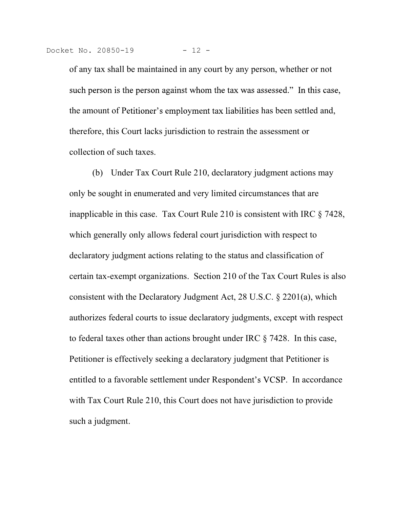t No. 20850-19 - 12 -<br>of any tax shall be maintained in any court by any person, whether or not<br>such person is the person against whom the tax was assessed." In this case,<br>the amount of Petitioner's employment tax liabilit the amount of Petitioner's employment tax liabilities has been settled and, therefore, this Court lacks jurisdiction to restrain the assessment or collection of such taxes.

(b) Under Tax Court Rule 210, declaratory judgment actions may only be sought in enumerated and very limited circumstances that are inapplicable in this case. Tax Court Rule 210 is consistent with IRC § 7428, which generally only allows federal court jurisdiction with respect to declaratory judgment actions relating to the status and classification of certain tax-exempt organizations. Section 210 of the Tax Court Rules is also consistent with the Declaratory Judgment Act, 28 U.S.C. § 2201(a), which authorizes federal courts to issue declaratory judgments, except with respect to federal taxes other than actions brought under IRC § 7428. In this case, Petitioner is effectively seeking a declaratory judgment that Petitioner is entitled to a favorable settlement under Respondent's VCSP. In accordance with Tax Court Rule 210, this Court does not have jurisdiction to provide such a judgment.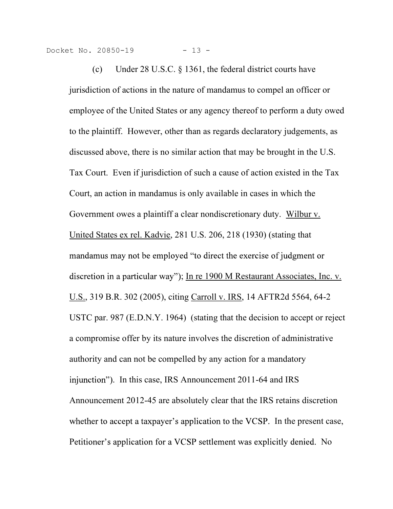Docket No. 20850-19 - 13 -

20850-19 - 13 -<br>
(c) Under 28 U.S.C. § 1361, the federal district courts have<br>
ction of actions in the nature of mandamus to compel an officer or<br>
vee of the United States or any agency thereof to perform a duty owed jurisdiction of actions in the nature of mandamus to compel an officer or employee of the United States or any agency thereof to perform a duty owed to the plaintiff. However, other than as regards declaratory judgements, as discussed above, there is no similar action that may be brought in the U.S. Tax Court. Even if jurisdiction of such a cause of action existed in the Tax Court, an action in mandamus is only available in cases in which the Government owes a plaintiff a clear nondiscretionary duty. Wilbur v. United States ex rel. Kadvie, 281 U.S. 206, 218 (1930) (stating that mandamus may not be employed "to direct the exercise of judgment or discretion in a particular way"); In re 1900 M Restaurant Associates, Inc. v. U.S., 319 B.R. 302 (2005), citing Carroll v. IRS, 14 AFTR2d 5564, 64-2 USTC par. 987 (E.D.N.Y. 1964) (stating that the decision to accept or reject a compromise offer by its nature involves the discretion of administrative authority and can not be compelled by any action for a mandatory injunction"). In this case, IRS Announcement 2011-64 and IRS Announcement 2012-45 are absolutely clear that the IRS retains discretion whether to accept a taxpayer's application to the VCSP. In the present case, Petitioner's application for a VCSP settlement was explicitly denied. No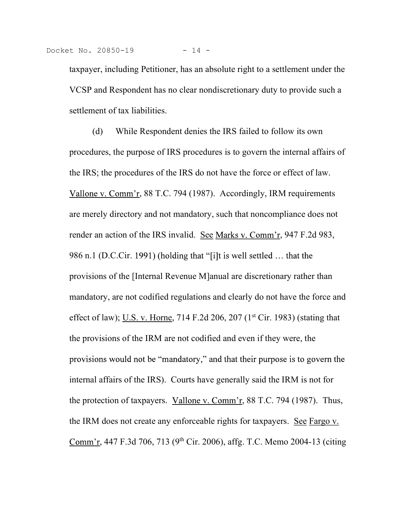that the contract of the contract of the contract of the chapter of the chapter of the contract of the contract of the contract of the settlement of the settlement of the settlement of the settlement of the settlement of t VCSP and Respondent has no clear nondiscretionary duty to provide such a settlement of tax liabilities.

(d) While Respondent denies the IRS failed to follow its own procedures, the purpose of IRS procedures is to govern the internal affairs of the IRS; the procedures of the IRS do not have the force or effect of law. Vallone v. Comm'r, 88 T.C. 794 (1987). Accordingly, IRM requirements are merely directory and not mandatory, such that noncompliance does not render an action of the IRS invalid. See Marks v. Comm'r, 947 F.2d 983, 986 n.1 (D.C.Cir. 1991) (holding that "[i]t is well settled ... that the provisions of the [Internal Revenue M]anual are discretionary rather than mandatory, are not codified regulations and clearly do not have the force and effect of law); U.S. v. Horne, 714 F.2d 206, 207 (1<sup>st</sup> Cir. 1983) (stating that the provisions of the IRM are not codified and even if they were, the provisions would not be "mandatory," and that their purpose is to govern the internal affairs of the IRS). Courts have generally said the IRM is not for the protection of taxpayers. Vallone v. Comm'r,  $88$  T.C. 794 (1987). Thus, the IRM does not create any enforceable rights for taxpayers. See Fargo v. Comm'r, 447 F.3d 706, 713 (9<sup>th</sup> Cir. 2006), affg. T.C. Memo 2004-13 (citing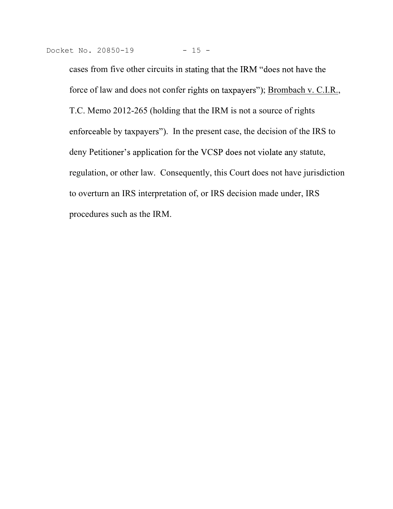cases from five other circuits in stating that the IRM "does not have the force of law and does not confer rights on taxpayers"); Brombach v. C.I.R., T.C. Memo 2012-265 (holding that the IRM is not a source of rights enforceable by taxpayers"). In the present case, the decision of the IRS to deny Petitioner's application for the VCSP does not violate any statute, regulation, or other law. Consequently, this Court does not have jurisdiction to overturn an IRS interpretation of, or IRS decision made under, IRS procedures such as the IRM.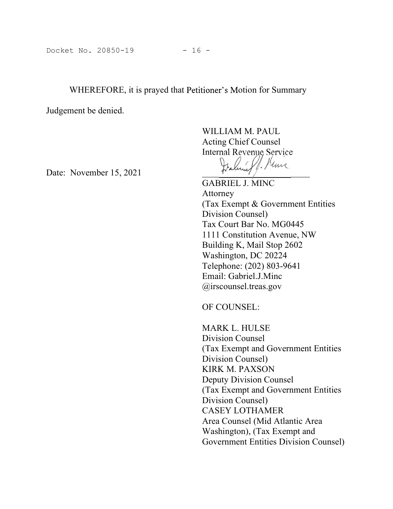# Docket No. 20850-19 - 16 -<br>WHEREFORE, it is prayed that Petitioner's Motion for Summary WHEREFORE, it is prayed that Petitioner's Motion for Summary

Docket No. 20850-19 - 16 -<br>WHEREFORE, it is prayed that Petitioner's Motion for Summary<br>Judgement be denied.<br>WILLIAM M. PAUL<br>Acting Chief Counsel<br>Internal Revenue Service WILLIAM M. PAUL Acting Chief Counsel Internal Revenue Service

Docket No. 20850-19<br>
WHEREFORE, it is prayed that Petitioner's Motion for Summary<br>
Judgement be denied.<br>
WILLIAM M. PAUL<br>
Acting Chief Counsel<br>
Internal Revenue Service<br>
Date: November 15, 2021<br>
Tables: Actorney<br>
(Tables: GABRIEL J. MINC Attorney (Tax Exempt & Government Entities Division Counsel) Tax Court Bar No. MG0445 1111 Constitution Avenue, NW ioner's Motion for Summary<br>
WILLIAM M. PAUL<br>
Acting Chief Counsel<br>
Internal Revenue Service<br>  $\frac{1}{2}$ <br>  $\frac{1}{2}$ <br>  $\frac{1}{2}$ <br>
GABRIEL J. MINC<br>
Attorney<br>
(Tax Exempt & Government Entities<br>
Division Counsel)<br>
ITAX Court Bar Washington, DC 20224 Telephone: (202) 803-9641 Email: Gabriel.J.Minc @irscounsel.treas.gov

OF COUNSEL:

MARK L. HULSE Division Counsel (Tax Exempt and Government Entities Division Counsel) KIRK M. PAXSON Deputy Division Counsel (Tax Exempt and Government Entities Division Counsel) CASEY LOTHAMER Area Counsel (Mid Atlantic Area Telephone: (202) 803-9641<br>
Email: Gabriel.J.Minc<br>
@irscounsel.treas.gov<br>
OF COUNSEL:<br>
MARK L. HULSE<br>
Division Counsel<br>
(Tax Exempt and Government Entities<br>
Division Counsel)<br>
KIRK M. PAXSON<br>
Deputy Division Counsel<br>
Divisi Government Entities Division Counsel)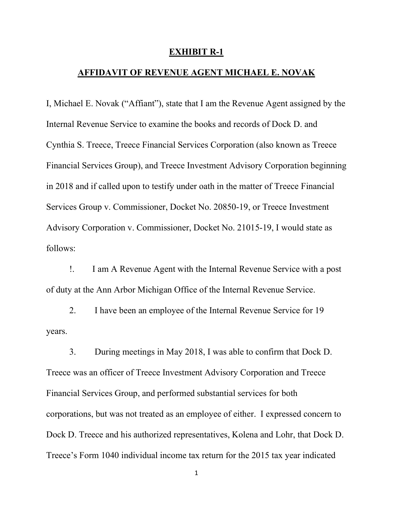### EXHIBIT R-1

# AFFIDAVIT OF REVENUE AGENT MICHAEL E. NOVAK

I, Michael E. Novak ("Affiant"), state that I am the Revenue Agent assigned by the Internal Revenue Service to examine the books and records of Dock D. and Cynthia S. Treece, Treece Financial Services Corporation (also known as Treece Financial Services Group), and Treece Investment Advisory Corporation beginning in 2018 and if called upon to testify under oath in the matter of Treece Financial Services Group v. Commissioner, Docket No. 20850-19, or Treece Investment Advisory Corporation v. Commissioner, Docket No. 21015-19, I would state as follows:

!. I am A Revenue Agent with the Internal Revenue Service with a post of duty at the Ann Arbor Michigan Office of the Internal Revenue Service.

2. I have been an employee of the Internal Revenue Service for 19 years.

3. During meetings in May 2018, I was able to confirm that Dock D. Treece was an officer of Treece Investment Advisory Corporation and Treece Financial Services Group, and performed substantial services for both corporations, but was not treated as an employee of either. I expressed concern to Dock D. Treece and his authorized representatives, Kolena and Lohr, that Dock D. Treece's Form 1040 individual income tax return for the 2015 tax year indicated

1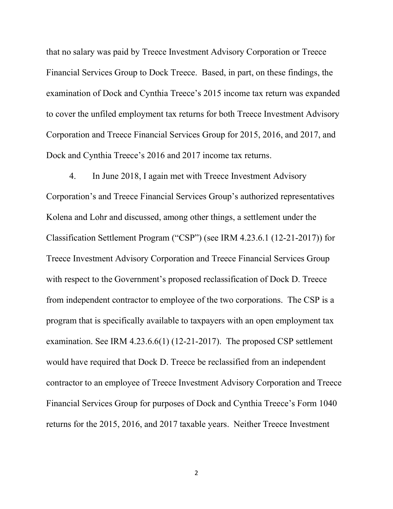that no salary was paid by Treece Investment Advisory Corporation or Treece Financial Services Group to Dock Treece. Based, in part, on these findings, the examination of Dock and Cynthia Treece's 2015 income tax return was expanded to cover the unfiled employment tax returns for both Treece Investment Advisory Corporation and Treece Financial Services Group for 2015, 2016, and 2017, and Dock and Cynthia Treece's 2016 and 2017 income tax returns.

4. In June 2018, I again met with Treece Investment Advisory Corporation's and Treece Financial Services Group's authorized representatives Kolena and Lohr and discussed, among other things, a settlement under the Classification Settlement Program ("CSP") (see IRM  $4.23.6.1$  (12-21-2017)) for Treece Investment Advisory Corporation and Treece Financial Services Group with respect to the Government's proposed reclassification of Dock D. Treece from independent contractor to employee of the two corporations. The CSP is a program that is specifically available to taxpayers with an open employment tax examination. See IRM 4.23.6.6(1) (12-21-2017). The proposed CSP settlement would have required that Dock D. Treece be reclassified from an independent contractor to an employee of Treece Investment Advisory Corporation and Treece Financial Services Group for purposes of Dock and Cynthia Treece's Form 1040 returns for the 2015, 2016, and 2017 taxable years. Neither Treece Investment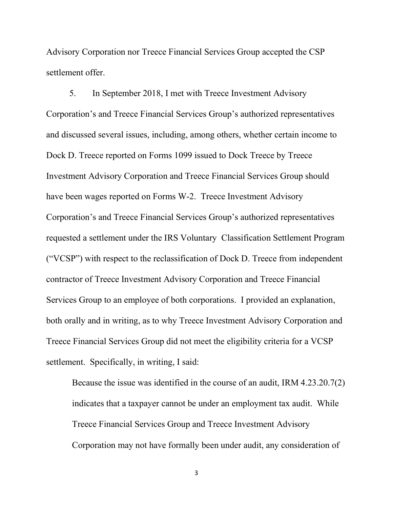Advisory Corporation nor Treece Financial Services Group accepted the CSP settlement offer.

5. In September 2018, I met with Treece Investment Advisory Corporation's and Treece Financial Services Group's authorized representatives and discussed several issues, including, among others, whether certain income to Dock D. Treece reported on Forms 1099 issued to Dock Treece by Treece Investment Advisory Corporation and Treece Financial Services Group should have been wages reported on Forms W-2. Treece Investment Advisory Corporation's and Treece Financial Services Group's authorized representatives requested a settlement under the IRS Voluntary Classification Settlement Program ("VCSP") with respect to the reclassification of Dock D. Treece from independent contractor of Treece Investment Advisory Corporation and Treece Financial Services Group to an employee of both corporations. I provided an explanation, both orally and in writing, as to why Treece Investment Advisory Corporation and Treece Financial Services Group did not meet the eligibility criteria for a VCSP settlement. Specifically, in writing, I said:

Because the issue was identified in the course of an audit, IRM 4.23.20.7(2) indicates that a taxpayer cannot be under an employment tax audit. While Treece Financial Services Group and Treece Investment Advisory Corporation may not have formally been under audit, any consideration of

3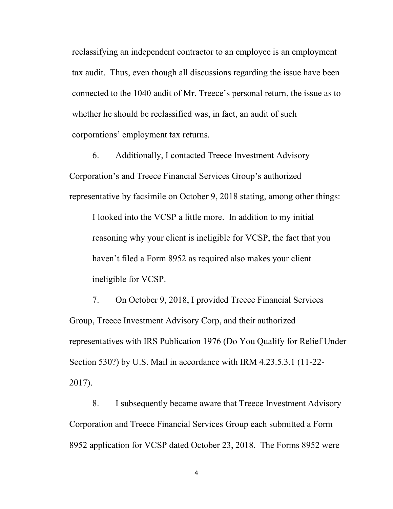reclassifying an independent contractor to an employee is an employment tax audit. Thus, even though all discussions regarding the issue have been connected to the 1040 audit of Mr. Treece's personal return, the issue as to whether he should be reclassified was, in fact, an audit of such corporations' employment tax returns.

6. Additionally, I contacted Treece Investment Advisory Corporation's and Treece Financial Services Group's authorized representative by facsimile on October 9, 2018 stating, among other things:

I looked into the VCSP a little more. In addition to my initial reasoning why your client is ineligible for VCSP, the fact that you haven't filed a Form 8952 as required also makes your client ineligible for VCSP.

7. On October 9, 2018, I provided Treece Financial Services Group, Treece Investment Advisory Corp, and their authorized representatives with IRS Publication 1976 (Do You Qualify for Relief Under Section 530?) by U.S. Mail in accordance with IRM 4.23.5.3.1 (11-22- 2017).

8. I subsequently became aware that Treece Investment Advisory Corporation and Treece Financial Services Group each submitted a Form 8952 application for VCSP dated October 23, 2018. The Forms 8952 were

4